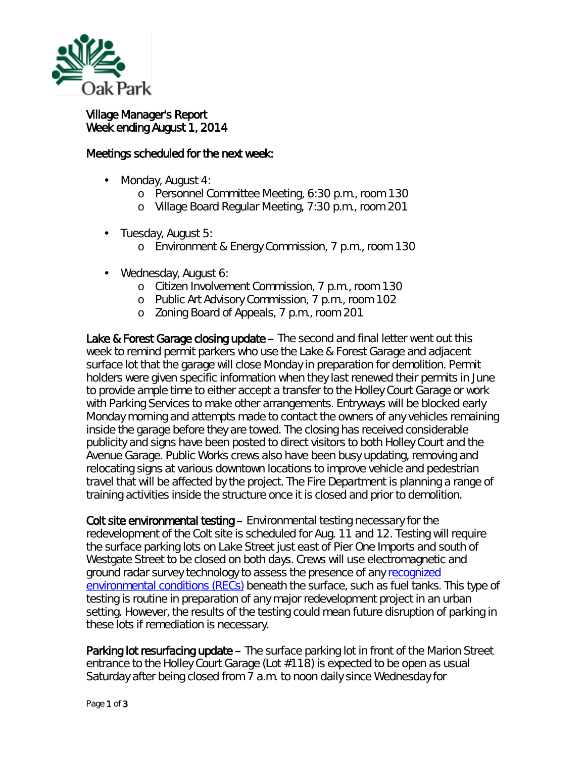

## Village Manager's Report Week ending August 1, 2014

## Meetings scheduled for the next week:

- Monday, August 4:
	- o Personnel Committee Meeting, 6:30 p.m., room 130
	- o Village Board Regular Meeting, 7:30 p.m., room 201
- Tuesday, August 5:  $\mathbf{r}^{\prime}$ 
	- o Environment & Energy Commission, 7 p.m., room 130
- Wednesday, August 6:
	- o Citizen Involvement Commission, 7 p.m., room 130
	- o Public Art Advisory Commission, 7 p.m., room 102
	- o Zoning Board of Appeals, 7 p.m., room 201

Lake & Forest Garage closing update – The second and final letter went out this week to remind permit parkers who use the Lake & Forest Garage and adjacent surface lot that the garage will close Monday in preparation for demolition. Permit holders were given specific information when they last renewed their permits in June to provide ample time to either accept a transfer to the Holley Court Garage or work with Parking Services to make other arrangements. Entryways will be blocked early Monday morning and attempts made to contact the owners of any vehicles remaining inside the garage before they are towed. The closing has received considerable publicity and signs have been posted to direct visitors to both Holley Court and the Avenue Garage. Public Works crews also have been busy updating, removing and relocating signs at various downtown locations to improve vehicle and pedestrian travel that will be affected by the project. The Fire Department is planning a range of training activities inside the structure once it is closed and prior to demolition.

Colt site environmental testing – Environmental testing necessary for the redevelopment of the Colt site is scheduled for Aug. 11 and 12. Testing will require the surface parking lots on Lake Street just east of Pier One Imports and south of Westgate Street to be closed on both days. Crews will use electromagnetic and ground radar survey technology to assess the presence of any recognized [environmental conditions \(RECs\)](http://www.partneresi.com/resources/rec.php) beneath the surface, such as fuel tanks. This type of testing is routine in preparation of any major redevelopment project in an urban setting. However, the results of the testing could mean future disruption of parking in these lots if remediation is necessary.

Parking lot resurfacing update – The surface parking lot in front of the Marion Street entrance to the Holley Court Garage (Lot #118) is expected to be open as usual Saturday after being closed from 7 a.m. to noon daily since Wednesday for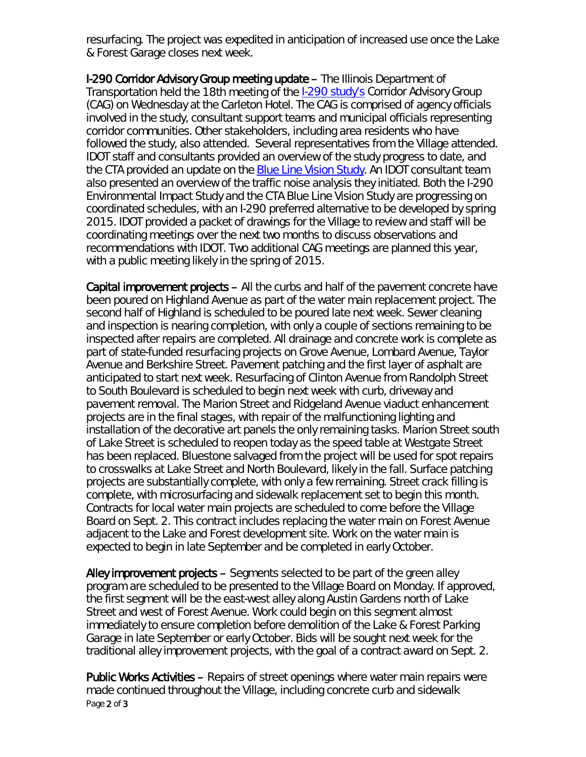resurfacing. The project was expedited in anticipation of increased use once the Lake & Forest Garage closes next week.

I-290 Corridor Advisory Group meeting update – The Illinois Department of Transportation held the 18th meeting of the [I-290 study's](http://eisenhowerexpressway.com/) Corridor Advisory Group (CAG) on Wednesday at the Carleton Hotel. The CAG is comprised of agency officials involved in the study, consultant support teams and municipal officials representing corridor communities. Other stakeholders, including area residents who have followed the study, also attended. Several representatives from the Village attended. IDOT staff and consultants provided an overview of the study progress to date, and the CTA provided an update on the **Blue Line Vision Study**. An IDOT consultant team also presented an overview of the traffic noise analysis they initiated. Both the I-290 Environmental Impact Study and the CTA Blue Line Vision Study are progressing on coordinated schedules, with an I-290 preferred alternative to be developed by spring 2015. IDOT provided a packet of drawings for the Village to review and staff will be coordinating meetings over the next two months to discuss observations and recommendations with IDOT. Two additional CAG meetings are planned this year, with a public meeting likely in the spring of 2015.

Capital improvement projects – All the curbs and half of the pavement concrete have been poured on Highland Avenue as part of the water main replacement project. The second half of Highland is scheduled to be poured late next week. Sewer cleaning and inspection is nearing completion, with only a couple of sections remaining to be inspected after repairs are completed. All drainage and concrete work is complete as part of state-funded resurfacing projects on Grove Avenue, Lombard Avenue, Taylor Avenue and Berkshire Street. Pavement patching and the first layer of asphalt are anticipated to start next week. Resurfacing of Clinton Avenue from Randolph Street to South Boulevard is scheduled to begin next week with curb, driveway and pavement removal. The Marion Street and Ridgeland Avenue viaduct enhancement projects are in the final stages, with repair of the malfunctioning lighting and installation of the decorative art panels the only remaining tasks. Marion Street south of Lake Street is scheduled to reopen today as the speed table at Westgate Street has been replaced. Bluestone salvaged from the project will be used for spot repairs to crosswalks at Lake Street and North Boulevard, likely in the fall. Surface patching projects are substantially complete, with only a few remaining. Street crack filling is complete, with microsurfacing and sidewalk replacement set to begin this month. Contracts for local water main projects are scheduled to come before the Village Board on Sept. 2. This contract includes replacing the water main on Forest Avenue adjacent to the Lake and Forest development site. Work on the water main is expected to begin in late September and be completed in early October.

Alley improvement projects – Segments selected to be part of the green alley program are scheduled to be presented to the Village Board on Monday. If approved, the first segment will be the east-west alley along Austin Gardens north of Lake Street and west of Forest Avenue. Work could begin on this segment almost immediately to ensure completion before demolition of the Lake & Forest Parking Garage in late September or early October. Bids will be sought next week for the traditional alley improvement projects, with the goal of a contract award on Sept. 2.

Page 2 of 3 Public Works Activities – Repairs of street openings where water main repairs were made continued throughout the Village, including concrete curb and sidewalk